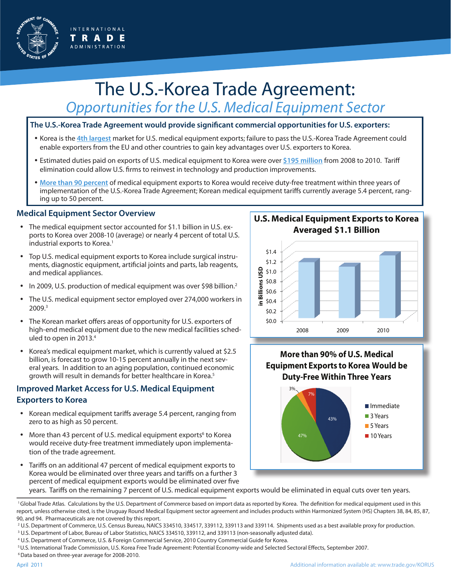

# The U.S.-Korea Trade Agreement: *Opportunities for the U.S. Medical Equipment Sector*

#### **The U.S.-Korea Trade Agreement would provide significant commercial opportunities for U.S. exporters:**

- Korea is the **4th largest** market for U.S. medical equipment exports; failure to pass the U.S.-Korea Trade Agreement could enable exporters from the EU and other countries to gain key advantages over U.S. exporters to Korea.
- Estimated duties paid on exports of U.S. medical equipment to Korea were over **\$195 million** from 2008 to 2010. Tariff elimination could allow U.S. firms to reinvest in technology and production improvements.
- • **More than 90 percent** of medical equipment exports to Korea would receive duty-free treatment within three years of implementation of the U.S.-Korea Trade Agreement; Korean medical equipment tariffs currently average 5.4 percent, ranging up to 50 percent.

#### **Medical Equipment Sector Overview**

- The medical equipment sector accounted for \$1.1 billion in U.S. exports to Korea over 2008-10 (average) or nearly 4 percent of total U.S. industrial exports to Korea.<sup>1</sup>
- Top U.S. medical equipment exports to Korea include surgical instruments, diagnostic equipment, artificial joints and parts, lab reagents, and medical appliances.
- In 2009, U.S. production of medical equipment was over \$98 billion.<sup>2</sup>
- The U.S. medical equipment sector employed over 274,000 workers in 2009.3
- The Korean market offers areas of opportunity for U.S. exporters of high-end medical equipment due to the new medical facilities scheduled to open in 2013.<sup>4</sup>
- Korea's medical equipment market, which is currently valued at \$2.5 billion, is forecast to grow 10-15 percent annually in the next several years. In addition to an aging population, continued economic growth will result in demands for better healthcare in Korea.5

## **Improved Market Access for U.S. Medical Equipment Exporters to Korea**

- Korean medical equipment tariffs average 5.4 percent, ranging from zero to as high as 50 percent.
- More than 43 percent of U.S. medical equipment exports<sup>6</sup> to Korea would receive duty-free treatment immediately upon implementation of the trade agreement.
- Tariffs on an additional 47 percent of medical equipment exports to Korea would be eliminated over three years and tariffs on a further 3 percent of medical equipment exports would be eliminated over five

## **U.S. Medical Equipment Exports to Korea Averaged \$1.1 Billion**



## **More than 90% of U.S. Medical Equipment Exports to Korea Would be Duty-Free Within Three Years**



years. Tariffs on the remaining 7 percent of U.S. medical equipment exports would be eliminated in equal cuts over ten years.

3 U.S. Department of Labor, Bureau of Labor Statistics, NAICS 334510, 339112, and 339113 (non-seasonally adjusted data).

4 U.S. Department of Commerce, U.S. & Foreign Commercial Service, 2010 Country Commercial Guide for Korea.

6 Data based on three-year average for 2008-2010.

<sup>&</sup>lt;sup>1</sup>Global Trade Atlas. Calculations by the U.S. Department of Commerce based on import data as reported by Korea. The definition for medical equipment used in this report, unless otherwise cited, is the Uruguay Round Medical Equipment sector agreement and includes products within Harmonized System (HS) Chapters 38, 84, 85, 87, 90, and 94. Pharmaceuticals are not covered by this report.

<sup>2</sup> U.S. Department of Commerce, U.S. Census Bureau, NAICS 334510, 334517, 339112, 339113 and 339114. Shipments used as a best available proxy for production.

<sup>5</sup> U.S. International Trade Commission, U.S. Korea Free Trade Agreement: Potential Economy-wide and Selected Sectoral Effects, September 2007.